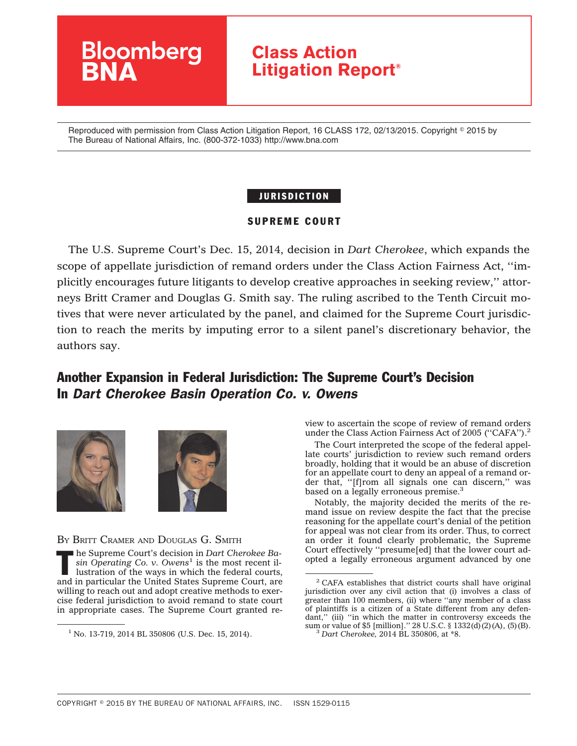

Reproduced with permission from Class Action Litigation Report, 16 CLASS 172, 02/13/2015. Copyright © 2015 by The Bureau of National Affairs, Inc. (800-372-1033) http://www.bna.com

## JURISDICTION

## SUPREME COURT

The U.S. Supreme Court's Dec. 15, 2014, decision in *Dart Cherokee*, which expands the scope of appellate jurisdiction of remand orders under the Class Action Fairness Act, ''implicitly encourages future litigants to develop creative approaches in seeking review,'' attorneys Britt Cramer and Douglas G. Smith say. The ruling ascribed to the Tenth Circuit motives that were never articulated by the panel, and claimed for the Supreme Court jurisdiction to reach the merits by imputing error to a silent panel's discretionary behavior, the authors say.

# Another Expansion in Federal Jurisdiction: The Supreme Court's Decision In *Dart Cherokee Basin Operation Co. v. Owens*





BY BRITT CRAMER AND DOUGLAS G. SMITH

The Supreme Court's decision in *Dart Cherokee Ba-*<br>
sin *Operating Co. v. Owens*<sup>1</sup> is the most recent illustration of the ways in which the federal courts, *sin Operating Co. v. Owens*<sup>1</sup> is the most recent illustration of the ways in which the federal courts, and in particular the United States Supreme Court, are willing to reach out and adopt creative methods to exercise federal jurisdiction to avoid remand to state court in appropriate cases. The Supreme Court granted review to ascertain the scope of review of remand orders under the Class Action Fairness Act of 2005 ("CAFA").<sup>2</sup>

The Court interpreted the scope of the federal appellate courts' jurisdiction to review such remand orders broadly, holding that it would be an abuse of discretion for an appellate court to deny an appeal of a remand order that, "[f]rom all signals one can discern," was based on a legally erroneous premise.<sup>3</sup>

Notably, the majority decided the merits of the remand issue on review despite the fact that the precise reasoning for the appellate court's denial of the petition for appeal was not clear from its order. Thus, to correct an order it found clearly problematic, the Supreme Court effectively ''presume[ed] that the lower court adopted a legally erroneous argument advanced by one

 $1$  No. 13-719, 2014 BL 350806 (U.S. Dec. 15, 2014).

<sup>2</sup> CAFA establishes that district courts shall have original jurisdiction over any civil action that (i) involves a class of greater than 100 members, (ii) where "any member of a class" of plaintiffs is a citizen of a State different from any defendant," (iii) "in which the matter in controversy exceeds the sum or value of \$5 [million].'' 28 U.S.C. § 1332(d)(2)(A), (5)(B).  $\frac{3}{3}$  *Dart Cherokee,* 2014 BL 350806, at \*8.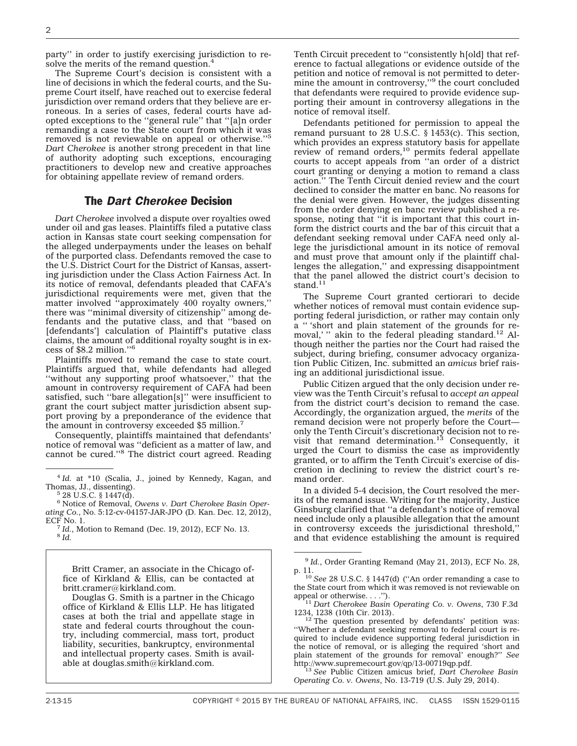party'' in order to justify exercising jurisdiction to resolve the merits of the remand question.<sup>4</sup>

The Supreme Court's decision is consistent with a line of decisions in which the federal courts, and the Supreme Court itself, have reached out to exercise federal jurisdiction over remand orders that they believe are erroneous. In a series of cases, federal courts have adopted exceptions to the ''general rule'' that ''[a]n order remanding a case to the State court from which it was removed is not reviewable on appeal or otherwise.''5 *Dart Cherokee* is another strong precedent in that line of authority adopting such exceptions, encouraging practitioners to develop new and creative approaches for obtaining appellate review of remand orders.

### The *Dart Cherokee* Decision

*Dart Cherokee* involved a dispute over royalties owed under oil and gas leases. Plaintiffs filed a putative class action in Kansas state court seeking compensation for the alleged underpayments under the leases on behalf of the purported class. Defendants removed the case to the U.S. District Court for the District of Kansas, asserting jurisdiction under the Class Action Fairness Act. In its notice of removal, defendants pleaded that CAFA's jurisdictional requirements were met, given that the matter involved "approximately 400 royalty owners, there was ''minimal diversity of citizenship'' among defendants and the putative class, and that ''based on [defendants'] calculation of Plaintiff's putative class claims, the amount of additional royalty sought is in excess of \$8.2 million.''6

Plaintiffs moved to remand the case to state court. Plaintiffs argued that, while defendants had alleged "without any supporting proof whatsoever," that the amount in controversy requirement of CAFA had been satisfied, such ''bare allegation[s]'' were insufficient to grant the court subject matter jurisdiction absent support proving by a preponderance of the evidence that the amount in controversy exceeded \$5 million.<sup>7</sup>

Consequently, plaintiffs maintained that defendants' notice of removal was ''deficient as a matter of law, and cannot be cured.''8 The district court agreed. Reading

<sup>6</sup> Notice of Removal, *Owens v. Dart Cherokee Basin Operating Co.*, No. 5:12-cv-04157-JAR-JPO (D. Kan. Dec. 12, 2012),

ECF No. 1. <sup>7</sup> *Id.*, Motion to Remand (Dec. 19, 2012), ECF No. 13. <sup>8</sup> *Id.*

Britt Cramer, an associate in the Chicago office of Kirkland & Ellis, can be contacted at britt.cramer@kirkland.com.

Douglas G. Smith is a partner in the Chicago office of Kirkland & Ellis LLP. He has litigated cases at both the trial and appellate stage in state and federal courts throughout the country, including commercial, mass tort, product liability, securities, bankruptcy, environmental and intellectual property cases. Smith is available at douglas.smith@kirkland.com.

Tenth Circuit precedent to ''consistently h[old] that reference to factual allegations or evidence outside of the petition and notice of removal is not permitted to determine the amount in controversy,''9 the court concluded that defendants were required to provide evidence supporting their amount in controversy allegations in the notice of removal itself.

Defendants petitioned for permission to appeal the remand pursuant to 28 U.S.C. § 1453(c). This section, which provides an express statutory basis for appellate review of remand orders,<sup>10</sup> permits federal appellate courts to accept appeals from ''an order of a district court granting or denying a motion to remand a class action.'' The Tenth Circuit denied review and the court declined to consider the matter en banc. No reasons for the denial were given. However, the judges dissenting from the order denying en banc review published a response, noting that ''it is important that this court inform the district courts and the bar of this circuit that a defendant seeking removal under CAFA need only allege the jurisdictional amount in its notice of removal and must prove that amount only if the plaintiff challenges the allegation,'' and expressing disappointment that the panel allowed the district court's decision to stand.<sup>11</sup>

The Supreme Court granted certiorari to decide whether notices of removal must contain evidence supporting federal jurisdiction, or rather may contain only a '' 'short and plain statement of the grounds for removal,' " akin to the federal pleading standard.<sup>12</sup> Although neither the parties nor the Court had raised the subject, during briefing, consumer advocacy organization Public Citizen, Inc. submitted an *amicus* brief raising an additional jurisdictional issue.

Public Citizen argued that the only decision under review was the Tenth Circuit's refusal to *accept an appeal* from the district court's decision to remand the case. Accordingly, the organization argued, the *merits* of the remand decision were not properly before the Court only the Tenth Circuit's discretionary decision not to revisit that remand determination.<sup>13</sup> Consequently, it urged the Court to dismiss the case as improvidently granted, or to affirm the Tenth Circuit's exercise of discretion in declining to review the district court's remand order.

In a divided 5-4 decision, the Court resolved the merits of the remand issue. Writing for the majority, Justice Ginsburg clarified that ''a defendant's notice of removal need include only a plausible allegation that the amount in controversy exceeds the jurisdictional threshold,'' and that evidence establishing the amount is required

<sup>13</sup> See Public Citizen amicus brief, *Dart Cherokee Basin Operating Co. v. Owens*, No. 13-719 (U.S. July 29, 2014).

<sup>&</sup>lt;sup>4</sup> *Id.* at \*10 (Scalia, J., joined by Kennedy, Kagan, and Thomas, JJ., dissenting).

 $5$  28 U.S.C. § 1447(d).

<sup>9</sup> *Id.*, Order Granting Remand (May 21, 2013), ECF No. 28,

p. 11. <sup>10</sup> *See* 28 U.S.C. § 1447(d) (''An order remanding a case to the State court from which it was removed is not reviewable on

appeal or otherwise. . . .").<br><sup>11</sup> *Dart Cherokee Basin Operating Co. v. Owens*, 730 F.3d<br>1234, 1238 (10th Cir. 2013).

 $12$ <sup>12</sup> The question presented by defendants' petition was: ''Whether a defendant seeking removal to federal court is required to include evidence supporting federal jurisdiction in the notice of removal, or is alleging the required 'short and plain statement of the grounds for removal' enough?'' *See*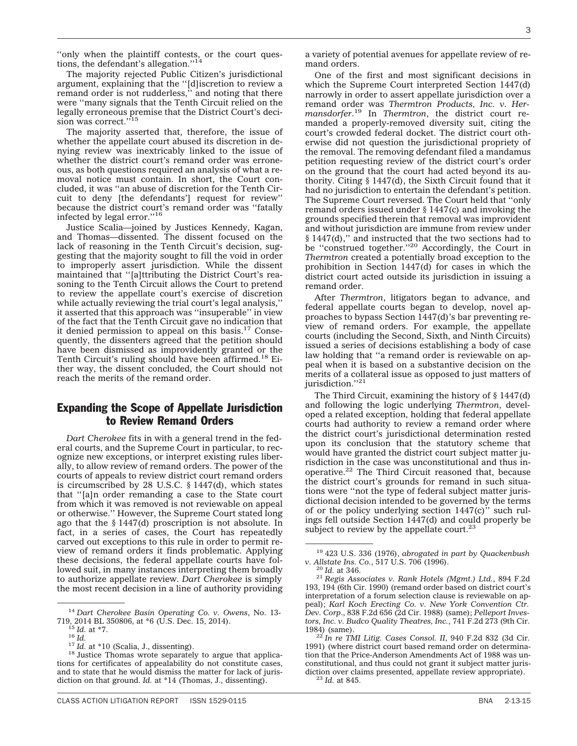"only when the plaintiff contests, or the court questions, the defendant's allegation."<sup>14</sup>

The majority rejected Public Citizen's jurisdictional argument, explaining that the ''[d]iscretion to review a remand order is not rudderless,'' and noting that there were ''many signals that the Tenth Circuit relied on the legally erroneous premise that the District Court's decision was correct."<sup>15</sup>

The majority asserted that, therefore, the issue of whether the appellate court abused its discretion in denying review was inextricably linked to the issue of whether the district court's remand order was erroneous, as both questions required an analysis of what a removal notice must contain. In short, the Court concluded, it was ''an abuse of discretion for the Tenth Circuit to deny [the defendants'] request for review'' because the district court's remand order was ''fatally infected by legal error.''16

Justice Scalia—joined by Justices Kennedy, Kagan, and Thomas—dissented. The dissent focused on the lack of reasoning in the Tenth Circuit's decision, suggesting that the majority sought to fill the void in order to improperly assert jurisdiction. While the dissent maintained that ''[a]ttributing the District Court's reasoning to the Tenth Circuit allows the Court to pretend to review the appellate court's exercise of discretion while actually reviewing the trial court's legal analysis,' it asserted that this approach was ''insuperable'' in view of the fact that the Tenth Circuit gave no indication that it denied permission to appeal on this basis.17 Consequently, the dissenters agreed that the petition should have been dismissed as improvidently granted or the Tenth Circuit's ruling should have been affirmed.<sup>18</sup> Either way, the dissent concluded, the Court should not reach the merits of the remand order.

## Expanding the Scope of Appellate Jurisdiction to Review Remand Orders

*Dart Cherokee* fits in with a general trend in the federal courts, and the Supreme Court in particular, to recognize new exceptions, or interpret existing rules liberally, to allow review of remand orders. The power of the courts of appeals to review district court remand orders is circumscribed by 28 U.S.C. § 1447(d), which states that ''[a]n order remanding a case to the State court from which it was removed is not reviewable on appeal or otherwise.'' However, the Supreme Court stated long ago that the § 1447(d) proscription is not absolute. In fact, in a series of cases, the Court has repeatedly carved out exceptions to this rule in order to permit review of remand orders it finds problematic. Applying these decisions, the federal appellate courts have followed suit, in many instances interpreting them broadly to authorize appellate review. *Dart Cherokee* is simply the most recent decision in a line of authority providing

a variety of potential avenues for appellate review of remand orders.

One of the first and most significant decisions in which the Supreme Court interpreted Section 1447(d) narrowly in order to assert appellate jurisdiction over a remand order was *Thermtron Products, Inc. v. Hermansdorfer*. <sup>19</sup> In *Thermtron*, the district court remanded a properly-removed diversity suit, citing the court's crowded federal docket. The district court otherwise did not question the jurisdictional propriety of the removal. The removing defendant filed a mandamus petition requesting review of the district court's order on the ground that the court had acted beyond its authority. Citing § 1447(d), the Sixth Circuit found that it had no jurisdiction to entertain the defendant's petition. The Supreme Court reversed. The Court held that ''only remand orders issued under § 1447(c) and invoking the grounds specified therein that removal was improvident and without jurisdiction are immune from review under § 1447(d),'' and instructed that the two sections had to be "construed together."<sup>20</sup> Accordingly, the Court in *Thermtron* created a potentially broad exception to the prohibition in Section 1447(d) for cases in which the district court acted outside its jurisdiction in issuing a remand order.

After *Thermtron*, litigators began to advance, and federal appellate courts began to develop, novel approaches to bypass Section 1447(d)'s bar preventing review of remand orders. For example, the appellate courts (including the Second, Sixth, and Ninth Circuits) issued a series of decisions establishing a body of case law holding that ''a remand order is reviewable on appeal when it is based on a substantive decision on the merits of a collateral issue as opposed to just matters of jurisdiction."<sup>21</sup>

The Third Circuit, examining the history of § 1447(d) and following the logic underlying *Thermtron*, developed a related exception, holding that federal appellate courts had authority to review a remand order where the district court's jurisdictional determination rested upon its conclusion that the statutory scheme that would have granted the district court subject matter jurisdiction in the case was unconstitutional and thus inoperative.22 The Third Circuit reasoned that, because the district court's grounds for remand in such situations were ''not the type of federal subject matter jurisdictional decision intended to be governed by the terms of or the policy underlying section  $1447(c)$ <sup>"</sup> such rulings fell outside Section 1447(d) and could properly be subject to review by the appellate court. $23$ 

<sup>14</sup> *Dart Cherokee Basin Operating Co. v. Owens*, No. 13-

<sup>&</sup>lt;sup>15</sup> Id. at \*7.<br><sup>16</sup> Id.<br><sup>17</sup> Id. at \*10 (Scalia, J., dissenting). <sup>18</sup> Justice Thomas wrote separately to argue that applications for certificates of appealability do not constitute cases, and to state that he would dismiss the matter for lack of jurisdiction on that ground. *Id.* at \*14 (Thomas, J., dissenting).

<sup>19</sup> 423 U.S. 336 (1976), *abrogated in part by Quackenbush*

*v. Allstate Ins. Co.*, 517 U.S. 706 (1996). <sup>20</sup> *Id.* at 346. <sup>21</sup> *Regis Associates v. Rank Hotels (Mgmt.) Ltd.*, 894 F.2d 193, 194 (6th Cir. 1990) (remand order based on district court's interpretation of a forum selection clause is reviewable on appeal); *Karl Koch Erecting Co. v. New York Convention Ctr. Dev. Corp*., 838 F.2d 656 (2d Cir. 1988) (same); *Pelleport Investors, Inc. v. Budco Quality Theatres, Inc.*, 741 F.2d 273 (9th Cir.

<sup>1984) (</sup>same). <sup>22</sup> *In re TMI Litig. Cases Consol. II*, 940 F.2d 832 (3d Cir. 1991) (where district court based remand order on determination that the Price-Anderson Amendments Act of 1988 was unconstitutional, and thus could not grant it subject matter jurisdiction over claims presented, appellate review appropriate). <sup>23</sup> *Id.* at 845.